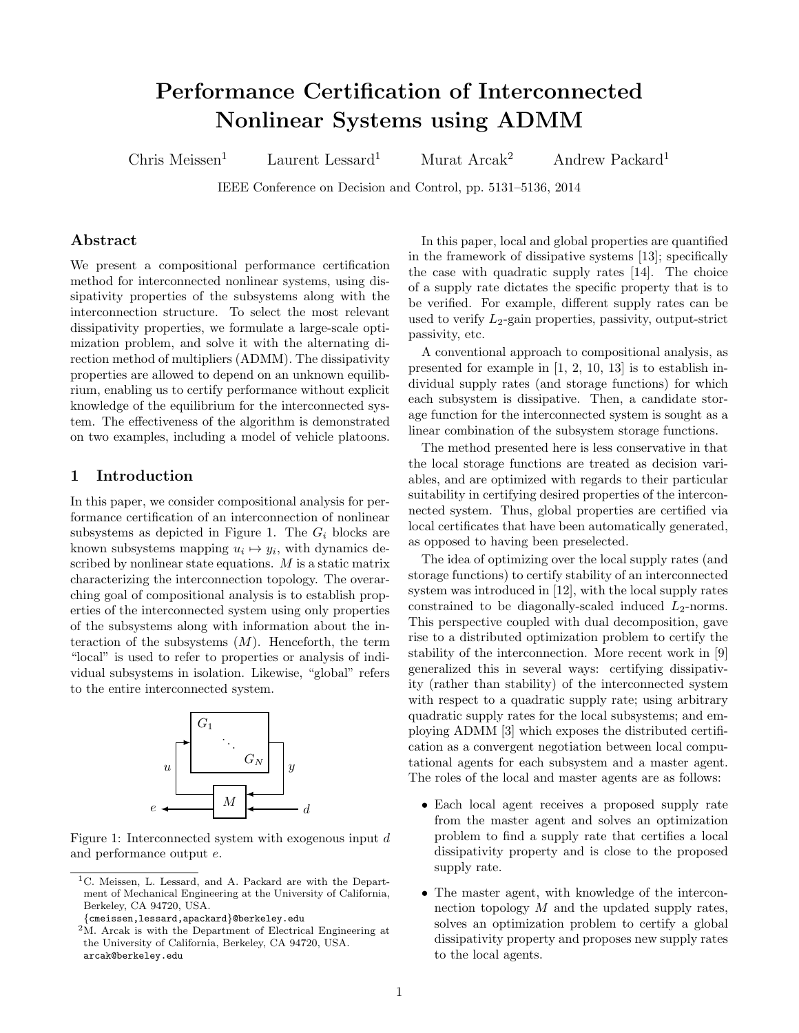# Performance Certification of Interconnected Nonlinear Systems using ADMM

Chris Meissen<sup>1</sup> Laurent Lessard<sup>1</sup> Murat Arcak<sup>2</sup> Andrew Packard<sup>1</sup>

IEEE Conference on Decision and Control, pp. 5131–5136, 2014

#### Abstract

We present a compositional performance certification method for interconnected nonlinear systems, using dissipativity properties of the subsystems along with the interconnection structure. To select the most relevant dissipativity properties, we formulate a large-scale optimization problem, and solve it with the alternating direction method of multipliers (ADMM). The dissipativity properties are allowed to depend on an unknown equilibrium, enabling us to certify performance without explicit knowledge of the equilibrium for the interconnected system. The effectiveness of the algorithm is demonstrated on two examples, including a model of vehicle platoons.

## 1 Introduction

In this paper, we consider compositional analysis for performance certification of an interconnection of nonlinear subsystems as depicted in Figure [1.](#page-0-0) The  $G_i$  blocks are known subsystems mapping  $u_i \mapsto y_i$ , with dynamics described by nonlinear state equations. M is a static matrix characterizing the interconnection topology. The overarching goal of compositional analysis is to establish properties of the interconnected system using only properties of the subsystems along with information about the interaction of the subsystems  $(M)$ . Henceforth, the term "local" is used to refer to properties or analysis of individual subsystems in isolation. Likewise, "global" refers to the entire interconnected system.

<span id="page-0-0"></span>

Figure 1: Interconnected system with exogenous input d and performance output e.

In this paper, local and global properties are quantified in the framework of dissipative systems [\[13\]](#page-5-0); specifically the case with quadratic supply rates [\[14\]](#page-5-1). The choice of a supply rate dictates the specific property that is to be verified. For example, different supply rates can be used to verify  $L_2$ -gain properties, passivity, output-strict passivity, etc.

A conventional approach to compositional analysis, as presented for example in [\[1,](#page-5-2) [2,](#page-5-3) [10,](#page-5-4) [13\]](#page-5-0) is to establish individual supply rates (and storage functions) for which each subsystem is dissipative. Then, a candidate storage function for the interconnected system is sought as a linear combination of the subsystem storage functions.

The method presented here is less conservative in that the local storage functions are treated as decision variables, and are optimized with regards to their particular suitability in certifying desired properties of the interconnected system. Thus, global properties are certified via local certificates that have been automatically generated, as opposed to having been preselected.

The idea of optimizing over the local supply rates (and storage functions) to certify stability of an interconnected system was introduced in [\[12\]](#page-5-5), with the local supply rates constrained to be diagonally-scaled induced  $L_2$ -norms. This perspective coupled with dual decomposition, gave rise to a distributed optimization problem to certify the stability of the interconnection. More recent work in [\[9\]](#page-5-6) generalized this in several ways: certifying dissipativity (rather than stability) of the interconnected system with respect to a quadratic supply rate; using arbitrary quadratic supply rates for the local subsystems; and employing ADMM [\[3\]](#page-5-7) which exposes the distributed certification as a convergent negotiation between local computational agents for each subsystem and a master agent. The roles of the local and master agents are as follows:

- Each local agent receives a proposed supply rate from the master agent and solves an optimization problem to find a supply rate that certifies a local dissipativity property and is close to the proposed supply rate.
- The master agent, with knowledge of the interconnection topology  $M$  and the updated supply rates, solves an optimization problem to certify a global dissipativity property and proposes new supply rates to the local agents.

<sup>&</sup>lt;sup>1</sup>C. Meissen, L. Lessard, and A. Packard are with the Department of Mechanical Engineering at the University of California, Berkeley, CA 94720, USA.

<sup>{</sup>cmeissen,lessard,apackard}@berkeley.edu

<sup>2</sup>M. Arcak is with the Department of Electrical Engineering at the University of California, Berkeley, CA 94720, USA. arcak@berkeley.edu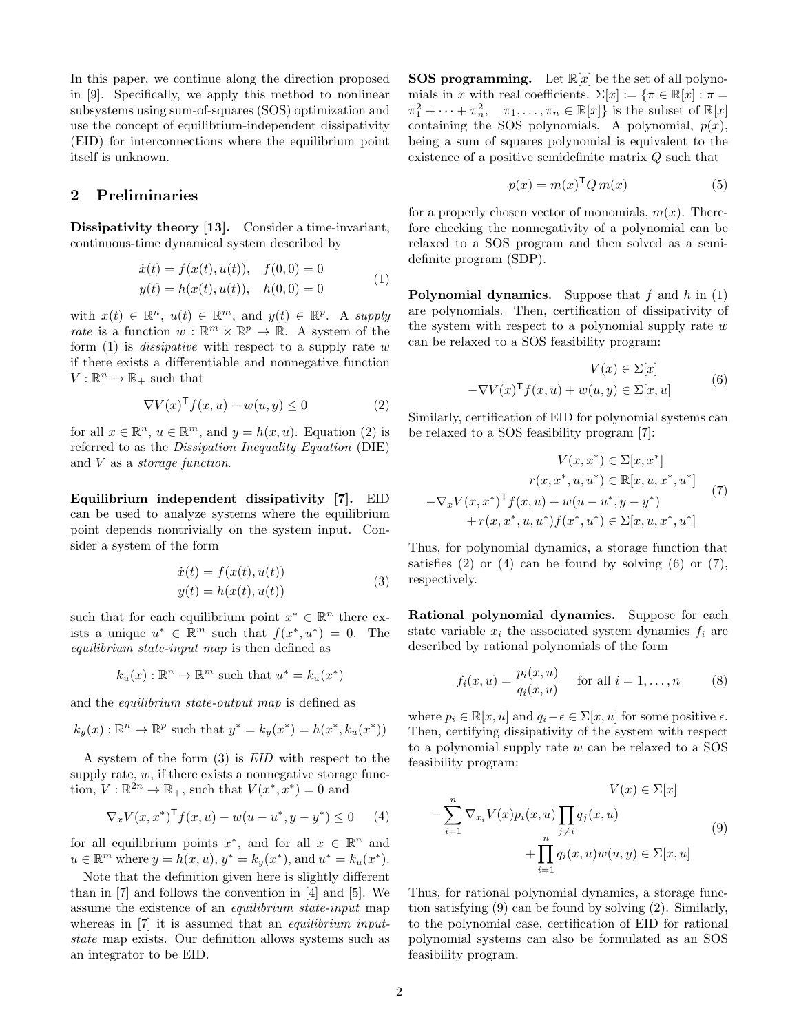In this paper, we continue along the direction proposed in [\[9\]](#page-5-6). Specifically, we apply this method to nonlinear subsystems using sum-of-squares (SOS) optimization and use the concept of equilibrium-independent dissipativity (EID) for interconnections where the equilibrium point itself is unknown.

### 2 Preliminaries

Dissipativity theory [\[13\]](#page-5-0). Consider a time-invariant, continuous-time dynamical system described by

<span id="page-1-0"></span>
$$
\begin{aligned}\n\dot{x}(t) &= f(x(t), u(t)), & f(0,0) &= 0\\
y(t) &= h(x(t), u(t)), & h(0,0) &= 0\n\end{aligned} \tag{1}
$$

with  $x(t) \in \mathbb{R}^n$ ,  $u(t) \in \mathbb{R}^m$ , and  $y(t) \in \mathbb{R}^p$ . A supply rate is a function  $w : \mathbb{R}^m \times \mathbb{R}^p \to \mathbb{R}$ . A system of the form  $(1)$  is *dissipative* with respect to a supply rate w if there exists a differentiable and nonnegative function  $V:\mathbb{R}^n\to\mathbb{R}_+$  such that

$$
\nabla V(x)^{\mathsf{T}} f(x, u) - w(u, y) \le 0 \tag{2}
$$

for all  $x \in \mathbb{R}^n$ ,  $u \in \mathbb{R}^m$ , and  $y = h(x, u)$ . Equation [\(2\)](#page-1-1) is referred to as the Dissipation Inequality Equation (DIE) and  $V$  as a *storage function*.

Equilibrium independent dissipativity [\[7\]](#page-5-8). EID can be used to analyze systems where the equilibrium point depends nontrivially on the system input. Consider a system of the form

<span id="page-1-2"></span>
$$
\begin{aligned} \dot{x}(t) &= f(x(t), u(t)) \\ y(t) &= h(x(t), u(t)) \end{aligned} \tag{3}
$$

such that for each equilibrium point  $x^* \in \mathbb{R}^n$  there exists a unique  $u^* \in \mathbb{R}^m$  such that  $f(x^*, u^*) = 0$ . The equilibrium state-input map is then defined as

$$
k_u(x): \mathbb{R}^n \to \mathbb{R}^m
$$
 such that  $u^* = k_u(x^*)$ 

and the equilibrium state-output map is defined as

$$
k_y(x): \mathbb{R}^n \to \mathbb{R}^p
$$
 such that  $y^* = k_y(x^*) = h(x^*, k_u(x^*))$ 

A system of the form [\(3\)](#page-1-2) is EID with respect to the supply rate,  $w$ , if there exists a nonnegative storage function,  $V : \mathbb{R}^{2n} \to \mathbb{R}_+$ , such that  $V(x^*, x^*) = 0$  and

$$
\nabla_x V(x, x^*)^{\mathsf{T}} f(x, u) - w(u - u^*, y - y^*) \le 0 \qquad (4)
$$

for all equilibrium points  $x^*$ , and for all  $x \in \mathbb{R}^n$  and  $u \in \mathbb{R}^m$  where  $y = h(x, u), y^* = k_y(x^*)$ , and  $u^* = k_u(x^*)$ .

Note that the definition given here is slightly different than in [\[7\]](#page-5-8) and follows the convention in [\[4\]](#page-5-9) and [\[5\]](#page-5-10). We assume the existence of an equilibrium state-input map whereas in [\[7\]](#page-5-8) it is assumed that an *equilibrium input*state map exists. Our definition allows systems such as an integrator to be EID.

**SOS programming.** Let  $\mathbb{R}[x]$  be the set of all polynomials in x with real coefficients.  $\Sigma[x] := {\pi \in \mathbb{R}[x] : \pi =$  $\pi_1^2 + \cdots + \pi_n^2$ ,  $\pi_1, \ldots, \pi_n \in \mathbb{R}[x]$  is the subset of  $\mathbb{R}[x]$ containing the SOS polynomials. A polynomial,  $p(x)$ , being a sum of squares polynomial is equivalent to the existence of a positive semidefinite matrix Q such that

$$
p(x) = m(x)^{\mathsf{T}} Q m(x) \tag{5}
$$

for a properly chosen vector of monomials,  $m(x)$ . Therefore checking the nonnegativity of a polynomial can be relaxed to a SOS program and then solved as a semidefinite program (SDP).

**Polynomial dynamics.** Suppose that  $f$  and  $h$  in [\(1\)](#page-1-0) are polynomials. Then, certification of dissipativity of the system with respect to a polynomial supply rate  $w$ can be relaxed to a SOS feasibility program:

<span id="page-1-5"></span><span id="page-1-4"></span>
$$
V(x) \in \Sigma[x]
$$
  
- $\nabla V(x)$ <sup>T</sup>  $f(x, u) + w(u, y) \in \Sigma[x, u]$  (6)

<span id="page-1-1"></span>Similarly, certification of EID for polynomial systems can be relaxed to a SOS feasibility program [\[7\]](#page-5-8):

$$
V(x, x^*) \in \Sigma[x, x^*]
$$

$$
r(x, x^*, u, u^*) \in \mathbb{R}[x, u, x^*, u^*]
$$

$$
-\nabla_x V(x, x^*)^{\mathsf{T}} f(x, u) + w(u - u^*, y - y^*)
$$

$$
+ r(x, x^*, u, u^*) f(x^*, u^*) \in \Sigma[x, u, x^*, u^*]
$$
(7)

Thus, for polynomial dynamics, a storage function that satisfies  $(2)$  or  $(4)$  can be found by solving  $(6)$  or  $(7)$ , respectively.

Rational polynomial dynamics. Suppose for each state variable  $x_i$  the associated system dynamics  $f_i$  are described by rational polynomials of the form

$$
f_i(x, u) = \frac{p_i(x, u)}{q_i(x, u)}
$$
 for all  $i = 1, ..., n$  (8)

where  $p_i \in \mathbb{R}[x, u]$  and  $q_i - \epsilon \in \Sigma[x, u]$  for some positive  $\epsilon$ . Then, certifying dissipativity of the system with respect to a polynomial supply rate  $w$  can be relaxed to a SOS feasibility program:

<span id="page-1-6"></span><span id="page-1-3"></span>
$$
V(x) \in \Sigma[x]
$$
  

$$
-\sum_{i=1}^{n} \nabla_{x_i} V(x) p_i(x, u) \prod_{j \neq i} q_j(x, u)
$$
  

$$
+\prod_{i=1}^{n} q_i(x, u) w(u, y) \in \Sigma[x, u]
$$
  
(9)

Thus, for rational polynomial dynamics, a storage function satisfying [\(9\)](#page-1-6) can be found by solving [\(2\)](#page-1-1). Similarly, to the polynomial case, certification of EID for rational polynomial systems can also be formulated as an SOS feasibility program.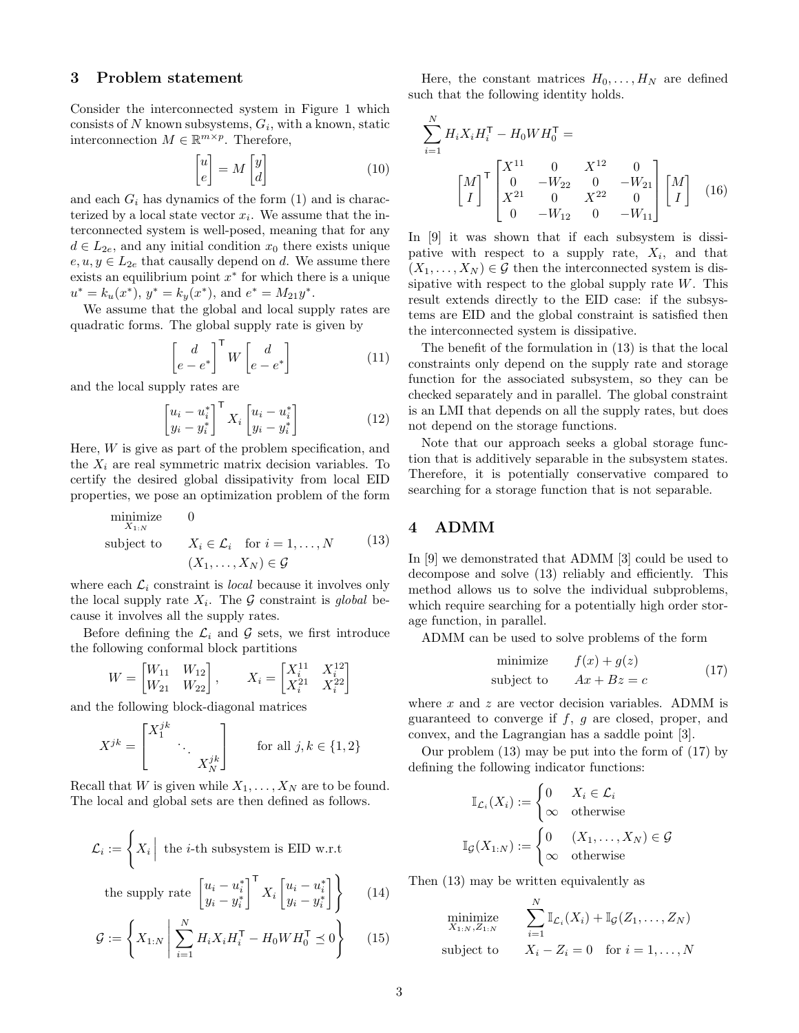#### 3 Problem statement

Consider the interconnected system in Figure [1](#page-0-0) which consists of  $N$  known subsystems,  $G_i$ , with a known, static interconnection  $M \in \mathbb{R}^{m \times p}$ . Therefore,

$$
\begin{bmatrix} u \\ e \end{bmatrix} = M \begin{bmatrix} y \\ d \end{bmatrix} \tag{10}
$$

and each  $G_i$  has dynamics of the form  $(1)$  and is characterized by a local state vector  $x_i$ . We assume that the interconnected system is well-posed, meaning that for any  $d \in L_{2e}$ , and any initial condition  $x_0$  there exists unique  $e, u, y \in L_{2e}$  that causally depend on d. We assume there exists an equilibrium point  $x^*$  for which there is a unique  $u^* = k_u(x^*), y^* = k_y(x^*), \text{ and } e^* = M_{21}y^*.$ 

We assume that the global and local supply rates are quadratic forms. The global supply rate is given by

$$
\begin{bmatrix} d \\ e - e^* \end{bmatrix}^{\mathsf{T}} W \begin{bmatrix} d \\ e - e^* \end{bmatrix}
$$
 (11)

and the local supply rates are

$$
\begin{bmatrix} u_i - u_i^* \\ y_i - y_i^* \end{bmatrix}^\mathsf{T} X_i \begin{bmatrix} u_i - u_i^* \\ y_i - y_i^* \end{bmatrix}
$$
 (12)

Here,  $W$  is give as part of the problem specification, and the  $X_i$  are real symmetric matrix decision variables. To certify the desired global dissipativity from local EID properties, we pose an optimization problem of the form

$$
\begin{array}{ll}\n\text{minimize} & 0 \\
\text{X}_{1:N} & \\
\text{subject to} & X_i \in \mathcal{L}_i \quad \text{for } i = 1, \dots, N \\
& (X_1, \dots, X_N) \in \mathcal{G}\n\end{array} \tag{13}
$$

where each  $\mathcal{L}_i$  constraint is *local* because it involves only the local supply rate  $X_i$ . The G constraint is global because it involves all the supply rates.

Before defining the  $\mathcal{L}_i$  and  $\mathcal G$  sets, we first introduce the following conformal block partitions

$$
W = \begin{bmatrix} W_{11} & W_{12} \\ W_{21} & W_{22} \end{bmatrix}, \qquad X_i = \begin{bmatrix} X_i^{11} & X_i^{12} \\ X_i^{21} & X_i^{22} \end{bmatrix}
$$

and the following block-diagonal matrices

$$
X^{jk} = \begin{bmatrix} X_1^{jk} & & \\ & \ddots & \\ & & X_N^{jk} \end{bmatrix}
$$
 for all  $j, k \in \{1, 2\}$ 

Recall that W is given while  $X_1, \ldots, X_N$  are to be found. The local and global sets are then defined as follows.

$$
\mathcal{L}_i := \left\{ X_i \middle| \text{ the } i\text{-th subsystem is EID w.r.t } \text{the supply rate } \begin{bmatrix} u_i - u_i^* \\ y_i - y_i^* \end{bmatrix}^\mathsf{T} X_i \begin{bmatrix} u_i - u_i^* \\ y_i - y_i^* \end{bmatrix} \right\} \qquad (14)
$$

$$
G := \left\{ X_{1:N} \middle| \sum_{i=1}^{N} H_i X_i H_i^{\mathsf{T}} - H_0 W H_0^{\mathsf{T}} \preceq 0 \right\} \tag{15}
$$

Here, the constant matrices  $H_0, \ldots, H_N$  are defined such that the following identity holds.

$$
\sum_{i=1}^{N} H_i X_i H_i^{\mathsf{T}} - H_0 W H_0^{\mathsf{T}} =
$$
\n
$$
\begin{bmatrix} M \\ I \end{bmatrix}^{\mathsf{T}} \begin{bmatrix} X^{11} & 0 & X^{12} & 0 \\ 0 & -W_{22} & 0 & -W_{21} \\ X^{21} & 0 & X^{22} & 0 \\ 0 & -W_{12} & 0 & -W_{11} \end{bmatrix} \begin{bmatrix} M \\ I \end{bmatrix} (16)
$$

In [\[9\]](#page-5-6) it was shown that if each subsystem is dissipative with respect to a supply rate,  $X_i$ , and that  $(X_1, \ldots, X_N) \in \mathcal{G}$  then the interconnected system is dissipative with respect to the global supply rate  $W$ . This result extends directly to the EID case: if the subsystems are EID and the global constraint is satisfied then the interconnected system is dissipative.

The benefit of the formulation in [\(13\)](#page-2-0) is that the local constraints only depend on the supply rate and storage function for the associated subsystem, so they can be checked separately and in parallel. The global constraint is an LMI that depends on all the supply rates, but does not depend on the storage functions.

Note that our approach seeks a global storage function that is additively separable in the subsystem states. Therefore, it is potentially conservative compared to searching for a storage function that is not separable.

## <span id="page-2-0"></span>4 ADMM

In [\[9\]](#page-5-6) we demonstrated that ADMM [\[3\]](#page-5-7) could be used to decompose and solve [\(13\)](#page-2-0) reliably and efficiently. This method allows us to solve the individual subproblems, which require searching for a potentially high order storage function, in parallel.

ADMM can be used to solve problems of the form

<span id="page-2-1"></span>
$$
\begin{array}{ll}\text{minimize} & f(x) + g(z) \\ \text{subject to} & Ax + Bz = c \end{array} \tag{17}
$$

where  $x$  and  $z$  are vector decision variables. ADMM is guaranteed to converge if  $f$ ,  $q$  are closed, proper, and convex, and the Lagrangian has a saddle point [\[3\]](#page-5-7).

Our problem [\(13\)](#page-2-0) may be put into the form of [\(17\)](#page-2-1) by defining the following indicator functions:

$$
\mathbb{I}_{\mathcal{L}_i}(X_i) := \begin{cases} 0 & X_i \in \mathcal{L}_i \\ \infty & \text{otherwise} \end{cases}
$$

$$
\mathbb{I}_{\mathcal{G}}(X_{1:N}) := \begin{cases} 0 & (X_1, \dots, X_N) \in \mathcal{G} \\ \infty & \text{otherwise} \end{cases}
$$

Then [\(13\)](#page-2-0) may be written equivalently as

$$
\begin{array}{ll}\n\text{minimize} & \sum_{i=1}^{N} \mathbb{I}_{\mathcal{L}_i}(X_i) + \mathbb{I}_{\mathcal{G}}(Z_1, \dots, Z_N) \\
\text{subject to} & X_i - Z_i = 0 \quad \text{for } i = 1, \dots, N\n\end{array}
$$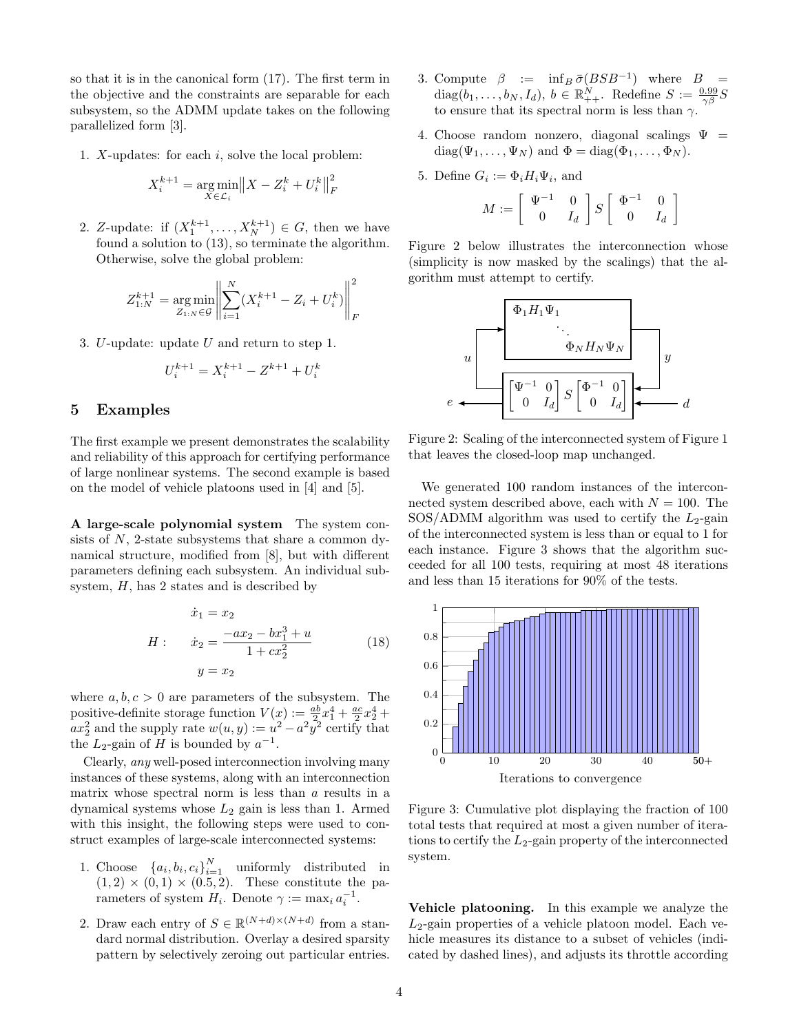so that it is in the canonical form [\(17\)](#page-2-1). The first term in the objective and the constraints are separable for each subsystem, so the ADMM update takes on the following parallelized form [\[3\]](#page-5-7).

1. X-updates: for each  $i$ , solve the local problem:

$$
X_i^{k+1} = \underset{X \in \mathcal{L}_i}{\arg \min} \| X - Z_i^k + U_i^k \|_F^2
$$

2. Z-update: if  $(X_1^{k+1},...,X_N^{k+1}) \in G$ , then we have found a solution to [\(13\)](#page-2-0), so terminate the algorithm. Otherwise, solve the global problem:

$$
Z_{1:N}^{k+1} = \underset{Z_{1:N} \in \mathcal{G}}{\arg \min} \left\| \sum_{i=1}^{N} (X_i^{k+1} - Z_i + U_i^k) \right\|_F^2
$$

3. U-update: update U and return to step 1.

$$
U_i^{k+1} = X_i^{k+1} - Z^{k+1} + U_i^k
$$

#### 5 Examples

The first example we present demonstrates the scalability and reliability of this approach for certifying performance of large nonlinear systems. The second example is based on the model of vehicle platoons used in [\[4\]](#page-5-9) and [\[5\]](#page-5-10).

A large-scale polynomial system The system consists of  $N$ , 2-state subsystems that share a common dynamical structure, modified from [\[8\]](#page-5-11), but with different parameters defining each subsystem. An individual subsystem,  $H$ , has 2 states and is described by

$$
\dot{x}_1 = x_2
$$
  
\n
$$
H: \quad \dot{x}_2 = \frac{-ax_2 - bx_1^3 + u}{1 + cx_2^2}
$$
 (18)  
\n
$$
y = x_2
$$

where  $a, b, c > 0$  are parameters of the subsystem. The positive-definite storage function  $V(x) := \frac{ab}{2}x_1^4 + \frac{ac}{2}x_2^4 +$  $ax_2^2$  and the supply rate  $w(u, y) := u^2 - a^2 y^2$  certify that the  $L_2$ -gain of H is bounded by  $a^{-1}$ .

Clearly, any well-posed interconnection involving many instances of these systems, along with an interconnection matrix whose spectral norm is less than a results in a dynamical systems whose  $L_2$  gain is less than 1. Armed with this insight, the following steps were used to construct examples of large-scale interconnected systems:

- 1. Choose  $\{a_i, b_i, c_i\}_{i=1}^N$  uniformly distributed in  $(1, 2) \times (0, 1) \times (0.5, 2)$ . These constitute the parameters of system  $H_i$ . Denote  $\gamma := \max_i a_i^{-1}$ .
- 2. Draw each entry of  $S \in \mathbb{R}^{(N+d)\times(N+d)}$  from a standard normal distribution. Overlay a desired sparsity pattern by selectively zeroing out particular entries.
- 3. Compute  $\beta := \inf_B \overline{\sigma}(BSB^{-1})$  where  $B =$ diag $(b_1, \ldots, b_N, I_d)$ ,  $b \in \mathbb{R}^N_{++}$ . Redefine  $S := \frac{0.99}{\gamma \beta} S$ to ensure that its spectral norm is less than  $\gamma$ .
- 4. Choose random nonzero, diagonal scalings  $\Psi =$  $diag(\Psi_1, \ldots, \Psi_N)$  and  $\Phi = diag(\Phi_1, \ldots, \Phi_N)$ .
- 5. Define  $G_i := \Phi_i H_i \Psi_i$ , and

$$
M:=\left[\begin{array}{cc} \Psi^{-1} & 0 \\ 0 & I_d \end{array}\right]S\left[\begin{array}{cc} \Phi^{-1} & 0 \\ 0 & I_d \end{array}\right]
$$

Figure [2](#page-3-0) below illustrates the interconnection whose (simplicity is now masked by the scalings) that the algorithm must attempt to certify.

<span id="page-3-0"></span>

Figure 2: Scaling of the interconnected system of Figure [1](#page-0-0) that leaves the closed-loop map unchanged.

We generated 100 random instances of the interconnected system described above, each with  $N = 100$ . The  $SOS/ADMM$  algorithm was used to certify the  $L_2$ -gain of the interconnected system is less than or equal to 1 for each instance. Figure [3](#page-3-1) shows that the algorithm succeeded for all 100 tests, requiring at most 48 iterations and less than 15 iterations for 90% of the tests.

<span id="page-3-1"></span>

Figure 3: Cumulative plot displaying the fraction of 100 total tests that required at most a given number of iterations to certify the  $L_2$ -gain property of the interconnected system.

Vehicle platooning. In this example we analyze the  $L_2$ -gain properties of a vehicle platoon model. Each vehicle measures its distance to a subset of vehicles (indicated by dashed lines), and adjusts its throttle according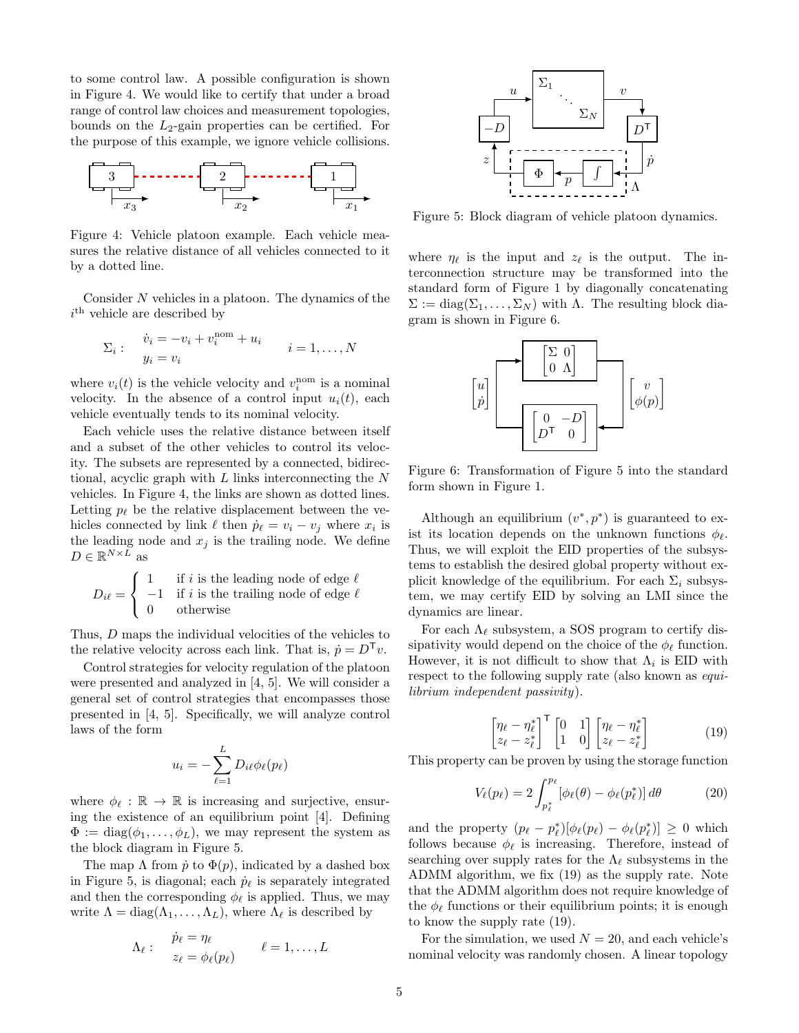to some control law. A possible configuration is shown in Figure [4.](#page-4-0) We would like to certify that under a broad range of control law choices and measurement topologies, bounds on the  $L_2$ -gain properties can be certified. For the purpose of this example, we ignore vehicle collisions.

<span id="page-4-0"></span>

Figure 4: Vehicle platoon example. Each vehicle measures the relative distance of all vehicles connected to it by a dotted line.

Consider N vehicles in a platoon. The dynamics of the  $i<sup>th</sup>$  vehicle are described by

$$
\Sigma_i: \quad \begin{array}{l}\n\dot{v}_i = -v_i + v_i^{\text{nom}} + u_i \\
y_i = v_i\n\end{array} \quad i = 1, \dots, N
$$

where  $v_i(t)$  is the vehicle velocity and  $v_i^{\text{nom}}$  is a nominal velocity. In the absence of a control input  $u_i(t)$ , each vehicle eventually tends to its nominal velocity.

Each vehicle uses the relative distance between itself and a subset of the other vehicles to control its velocity. The subsets are represented by a connected, bidirectional, acyclic graph with L links interconnecting the N vehicles. In Figure [4,](#page-4-0) the links are shown as dotted lines. Letting  $p_{\ell}$  be the relative displacement between the vehicles connected by link  $\ell$  then  $\dot{p}_\ell = v_i - v_j$  where  $x_i$  is the leading node and  $x_j$  is the trailing node. We define  $D \in \mathbb{R}^{N \times L}$  as

$$
D_{i\ell} = \begin{cases} 1 & \text{if } i \text{ is the leading node of edge } \ell \\ -1 & \text{if } i \text{ is the trailing node of edge } \ell \\ 0 & \text{otherwise} \end{cases}
$$

Thus, D maps the individual velocities of the vehicles to the relative velocity across each link. That is,  $\dot{p} = D^{\mathsf{T}}v$ .

Control strategies for velocity regulation of the platoon were presented and analyzed in [\[4,](#page-5-9) [5\]](#page-5-10). We will consider a general set of control strategies that encompasses those presented in [\[4,](#page-5-9) [5\]](#page-5-10). Specifically, we will analyze control laws of the form

$$
u_i = -\sum_{\ell=1}^L D_{i\ell} \phi_\ell(p_\ell)
$$

where  $\phi_{\ell} : \mathbb{R} \to \mathbb{R}$  is increasing and surjective, ensuring the existence of an equilibrium point [\[4\]](#page-5-9). Defining  $\Phi := \text{diag}(\phi_1, \ldots, \phi_L)$ , we may represent the system as the block diagram in Figure [5.](#page-4-1)

The map  $\Lambda$  from  $\dot{p}$  to  $\Phi(p)$ , indicated by a dashed box in Figure [5,](#page-4-1) is diagonal; each  $\dot{p}_\ell$  is separately integrated and then the corresponding  $\phi_{\ell}$  is applied. Thus, we may write  $\Lambda = \text{diag}(\Lambda_1, \ldots, \Lambda_L)$ , where  $\Lambda_{\ell}$  is described by

$$
\Lambda_{\ell}: \quad \begin{array}{l} \dot{p}_{\ell} = \eta_{\ell} \\ z_{\ell} = \phi_{\ell}(p_{\ell}) \end{array} \qquad \ell = 1, \ldots, L
$$

<span id="page-4-1"></span>

Figure 5: Block diagram of vehicle platoon dynamics.

where  $\eta_{\ell}$  is the input and  $z_{\ell}$  is the output. The interconnection structure may be transformed into the standard form of Figure [1](#page-0-0) by diagonally concatenating  $\Sigma := diag(\Sigma_1, \ldots, \Sigma_N)$  with  $\Lambda$ . The resulting block diagram is shown in Figure [6.](#page-4-2)

<span id="page-4-2"></span>

Figure 6: Transformation of Figure [5](#page-4-1) into the standard form shown in Figure [1.](#page-0-0)

Although an equilibrium  $(v^*, p^*)$  is guaranteed to exist its location depends on the unknown functions  $\phi_{\ell}$ . Thus, we will exploit the EID properties of the subsystems to establish the desired global property without explicit knowledge of the equilibrium. For each  $\Sigma_i$  subsystem, we may certify EID by solving an LMI since the dynamics are linear.

For each  $\Lambda_{\ell}$  subsystem, a SOS program to certify dissipativity would depend on the choice of the  $\phi_{\ell}$  function. However, it is not difficult to show that  $\Lambda_i$  is EID with respect to the following supply rate (also known as *equi*librium independent passivity).

<span id="page-4-3"></span>
$$
\begin{bmatrix} \eta_{\ell} - \eta_{\ell}^* \\ z_{\ell} - z_{\ell}^* \end{bmatrix}^{\mathsf{T}} \begin{bmatrix} 0 & 1 \\ 1 & 0 \end{bmatrix} \begin{bmatrix} \eta_{\ell} - \eta_{\ell}^* \\ z_{\ell} - z_{\ell}^* \end{bmatrix}
$$
 (19)

This property can be proven by using the storage function

$$
V_{\ell}(p_{\ell}) = 2 \int_{p_{\ell}^*}^{p_{\ell}} [\phi_{\ell}(\theta) - \phi_{\ell}(p_{\ell}^*)] d\theta \qquad (20)
$$

and the property  $(p_{\ell} - p_{\ell}^*)[\phi_{\ell}(p_{\ell}) - \phi_{\ell}(p_{\ell}^*)] \geq 0$  which follows because  $\phi_{\ell}$  is increasing. Therefore, instead of searching over supply rates for the  $\Lambda_{\ell}$  subsystems in the ADMM algorithm, we fix [\(19\)](#page-4-3) as the supply rate. Note that the ADMM algorithm does not require knowledge of the  $\phi_{\ell}$  functions or their equilibrium points; it is enough to know the supply rate [\(19\)](#page-4-3).

For the simulation, we used  $N = 20$ , and each vehicle's nominal velocity was randomly chosen. A linear topology